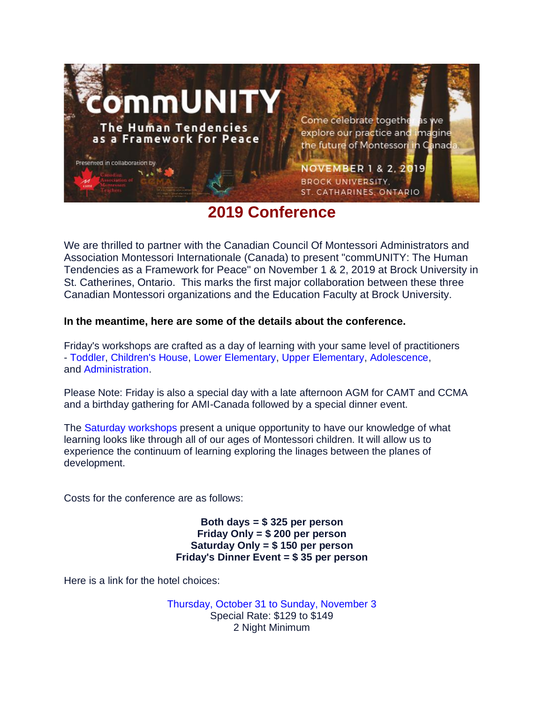

## **2019 Conference**

We are thrilled to partner with the Canadian Council Of Montessori Administrators and Association Montessori Internationale (Canada) to present "commUNITY: The Human Tendencies as a Framework for Peace" on November 1 & 2, 2019 at Brock University in St. Catherines, Ontario. This marks the first major collaboration between these three Canadian Montessori organizations and the Education Faculty at Brock University.

### **In the meantime, here are some of the details about the conference.**

Friday's workshops are crafted as a day of learning with your same level of practitioners - [Toddler,](https://www.camt100.ca/conferences) [Children's](https://www.camt100.ca/conferences) House, Lower [Elementary,](https://www.camt100.ca/conferences) Upper [Elementary,](https://www.camt100.ca/conferences) [Adolescence,](https://www.camt100.ca/conferences) and [Administration.](https://www.camt100.ca/conferences)

Please Note: Friday is also a special day with a late afternoon AGM for CAMT and CCMA and a birthday gathering for AMI-Canada followed by a special dinner event.

The Saturday [workshops](https://www.camt100.ca/conferences) present a unique opportunity to have our knowledge of what learning looks like through all of our ages of Montessori children. It will allow us to experience the continuum of learning exploring the linages between the planes of development.

Costs for the conference are as follows:

**Both days = \$ 325 per person Friday Only = \$ 200 per person Saturday Only = \$ 150 per person Friday's Dinner Event = \$ 35 per person**

Here is a link for the hotel choices:

Thursday, October 31 to Sunday, [November](https://www.marriott.com/event-reservations/reservation-link.mi?id=1551972543719&key=GRP&app=resvlink) 3 Special Rate: \$129 to \$149 2 Night Minimum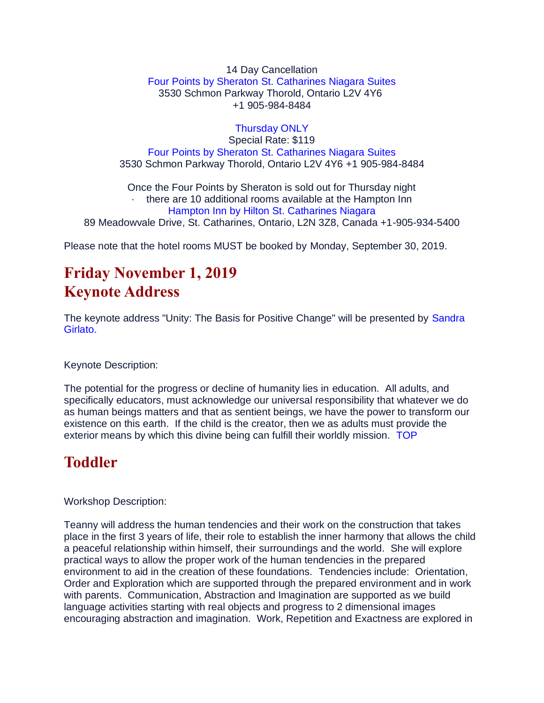14 Day Cancellation Four Points by Sheraton St. [Catharines](https://www.marriott.com/event-reservations/hotelQuickView.mi?propertyId=IAGFP&brandCode=FP&marshaCode=IAGFP) Niagara Suites 3530 Schmon Parkway Thorold, Ontario L2V 4Y6 +1 905-984-8484

[Thursday](https://www.marriott.com/event-reservations/reservation-link.mi?id=1567026802024&key=GRP&app=resvlink) ONLY Special Rate: \$119 Four Points by Sheraton St. [Catharines](https://www.marriott.com/event-reservations/hotelQuickView.mi?propertyId=IAGFP&brandCode=FP&marshaCode=IAGFP) Niagara Suites 3530 Schmon Parkway Thorold, Ontario L2V 4Y6 +1 905-984-8484

Once the Four Points by Sheraton is sold out for Thursday night · there are 10 additional rooms available at the Hampton Inn Hampton Inn by Hilton St. [Catharines](https://secure3.hilton.com/en_US/hp/reservation/book.htm?inputModule=HOTEL&ctyhocn=YCMMBHX&spec_plan=CHHMON&arrival=20191031&departure=20191101&cid=OM,WW,HILTONLINK,EN,DirectLink&fromId=HILTONLINKDIRECT) Niagara 89 Meadowvale Drive, St. Catharines, Ontario, L2N 3Z8, Canada +1-905-934-5400

Please note that the hotel rooms MUST be booked by Monday, September 30, 2019.

# **Friday November 1, 2019 Keynote Address**

The keynote address "Unity: The Basis for Positive Change" will be presented by [Sandra](https://www.camt100.ca/conferences) [Girlato.](https://www.camt100.ca/conferences)

Keynote Description:

The potential for the progress or decline of humanity lies in education. All adults, and specifically educators, must acknowledge our universal responsibility that whatever we do as human beings matters and that as sentient beings, we have the power to transform our existence on this earth. If the child is the creator, then we as adults must provide the exterior means by which this divine being can fulfill their worldly mission. [TOP](https://www.camt100.ca/conferences)

# **Toddler**

Workshop Description:

Teanny will address the human tendencies and their work on the construction that takes place in the first 3 years of life, their role to establish the inner harmony that allows the child a peaceful relationship within himself, their surroundings and the world. She will explore practical ways to allow the proper work of the human tendencies in the prepared environment to aid in the creation of these foundations. Tendencies include: Orientation, Order and Exploration which are supported through the prepared environment and in work with parents. Communication, Abstraction and Imagination are supported as we build language activities starting with real objects and progress to 2 dimensional images encouraging abstraction and imagination. Work, Repetition and Exactness are explored in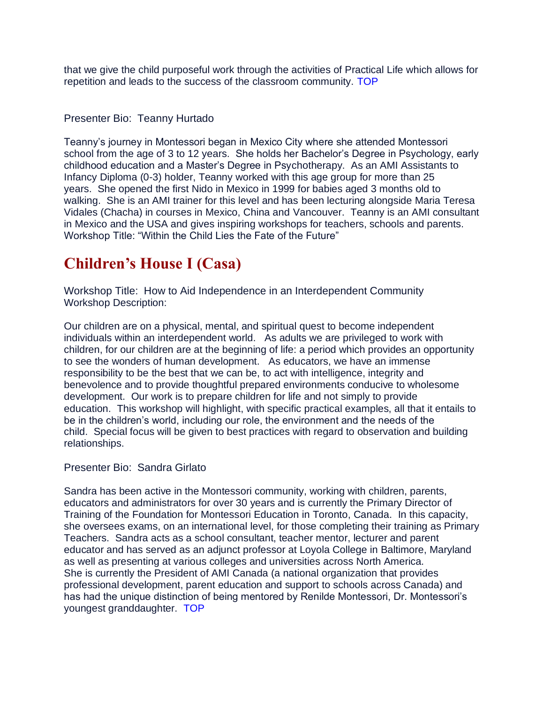that we give the child purposeful work through the activities of Practical Life which allows for repetition and leads to the success of the classroom community. [TOP](https://www.camt100.ca/conferences)

#### Presenter Bio: Teanny Hurtado

Teanny's journey in Montessori began in Mexico City where she attended Montessori school from the age of 3 to 12 years. She holds her Bachelor's Degree in Psychology, early childhood education and a Master's Degree in Psychotherapy. As an AMI Assistants to Infancy Diploma (0-3) holder, Teanny worked with this age group for more than 25 years. She opened the first Nido in Mexico in 1999 for babies aged 3 months old to walking. She is an AMI trainer for this level and has been lecturing alongside Maria Teresa Vidales (Chacha) in courses in Mexico, China and Vancouver. Teanny is an AMI consultant in Mexico and the USA and gives inspiring workshops for teachers, schools and parents. Workshop Title: "Within the Child Lies the Fate of the Future"

## **Children's House I (Casa)**

Workshop Title: How to Aid Independence in an Interdependent Community Workshop Description:

Our children are on a physical, mental, and spiritual quest to become independent individuals within an interdependent world. As adults we are privileged to work with children, for our children are at the beginning of life: a period which provides an opportunity to see the wonders of human development. As educators, we have an immense responsibility to be the best that we can be, to act with intelligence, integrity and benevolence and to provide thoughtful prepared environments conducive to wholesome development. Our work is to prepare children for life and not simply to provide education. This workshop will highlight, with specific practical examples, all that it entails to be in the children's world, including our role, the environment and the needs of the child. Special focus will be given to best practices with regard to observation and building relationships.

#### Presenter Bio: Sandra Girlato

Sandra has been active in the Montessori community, working with children, parents, educators and administrators for over 30 years and is currently the Primary Director of Training of the Foundation for Montessori Education in Toronto, Canada. In this capacity, she oversees exams, on an international level, for those completing their training as Primary Teachers. Sandra acts as a school consultant, teacher mentor, lecturer and parent educator and has served as an adjunct professor at Loyola College in Baltimore, Maryland as well as presenting at various colleges and universities across North America. She is currently the President of AMI Canada (a national organization that provides professional development, parent education and support to schools across Canada) and has had the unique distinction of being mentored by Renilde Montessori, Dr. Montessori's youngest granddaughter. [TOP](https://www.camt100.ca/conferences)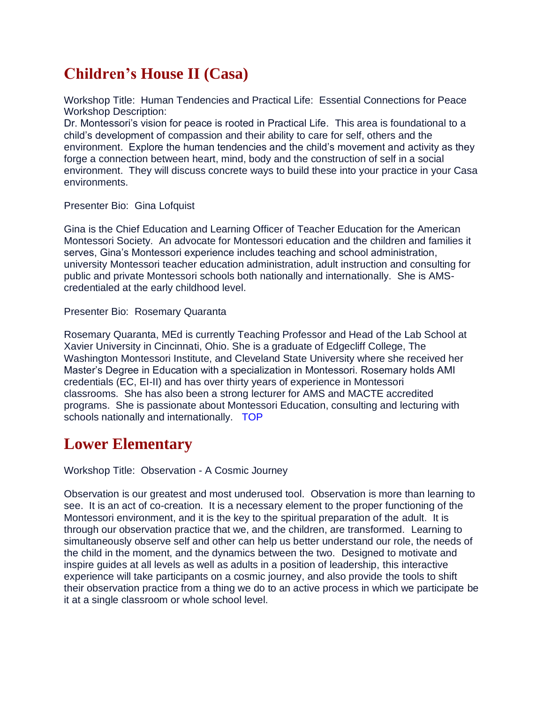## **Children's House II (Casa)**

Workshop Title: Human Tendencies and Practical Life: Essential Connections for Peace Workshop Description:

Dr. Montessori's vision for peace is rooted in Practical Life. This area is foundational to a child's development of compassion and their ability to care for self, others and the environment. Explore the human tendencies and the child's movement and activity as they forge a connection between heart, mind, body and the construction of self in a social environment. They will discuss concrete ways to build these into your practice in your Casa environments.

Presenter Bio: Gina Lofquist

Gina is the Chief Education and Learning Officer of Teacher Education for the American Montessori Society. An advocate for Montessori education and the children and families it serves, Gina's Montessori experience includes teaching and school administration, university Montessori teacher education administration, adult instruction and consulting for public and private Montessori schools both nationally and internationally. She is AMScredentialed at the early childhood level.

Presenter Bio: Rosemary Quaranta

Rosemary Quaranta, MEd is currently Teaching Professor and Head of the Lab School at Xavier University in Cincinnati, Ohio. She is a graduate of Edgecliff College, The Washington Montessori Institute, and Cleveland State University where she received her Master's Degree in Education with a specialization in Montessori. Rosemary holds AMI credentials (EC, EI-II) and has over thirty years of experience in Montessori classrooms. She has also been a strong lecturer for AMS and MACTE accredited programs. She is passionate about Montessori Education, consulting and lecturing with schools nationally and internationally. [TOP](https://www.camt100.ca/conferences)

## **Lower Elementary**

Workshop Title: Observation - A Cosmic Journey

Observation is our greatest and most underused tool. Observation is more than learning to see. It is an act of co-creation. It is a necessary element to the proper functioning of the Montessori environment, and it is the key to the spiritual preparation of the adult. It is through our observation practice that we, and the children, are transformed. Learning to simultaneously observe self and other can help us better understand our role, the needs of the child in the moment, and the dynamics between the two. Designed to motivate and inspire guides at all levels as well as adults in a position of leadership, this interactive experience will take participants on a cosmic journey, and also provide the tools to shift their observation practice from a thing we do to an active process in which we participate be it at a single classroom or whole school level.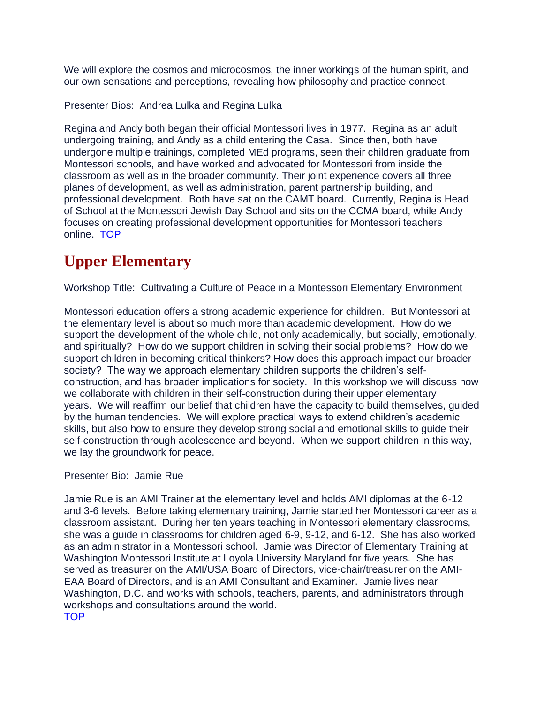We will explore the cosmos and microcosmos, the inner workings of the human spirit, and our own sensations and perceptions, revealing how philosophy and practice connect.

Presenter Bios: Andrea Lulka and Regina Lulka

Regina and Andy both began their official Montessori lives in 1977. Regina as an adult undergoing training, and Andy as a child entering the Casa. Since then, both have undergone multiple trainings, completed MEd programs, seen their children graduate from Montessori schools, and have worked and advocated for Montessori from inside the classroom as well as in the broader community. Their joint experience covers all three planes of development, as well as administration, parent partnership building, and professional development. Both have sat on the CAMT board. Currently, Regina is Head of School at the Montessori Jewish Day School and sits on the CCMA board, while Andy focuses on creating professional development opportunities for Montessori teachers online. [TOP](https://www.camt100.ca/conferences)

# **Upper Elementary**

Workshop Title: Cultivating a Culture of Peace in a Montessori Elementary Environment

Montessori education offers a strong academic experience for children. But Montessori at the elementary level is about so much more than academic development. How do we support the development of the whole child, not only academically, but socially, emotionally, and spiritually? How do we support children in solving their social problems? How do we support children in becoming critical thinkers? How does this approach impact our broader society? The way we approach elementary children supports the children's selfconstruction, and has broader implications for society. In this workshop we will discuss how we collaborate with children in their self-construction during their upper elementary years. We will reaffirm our belief that children have the capacity to build themselves, guided by the human tendencies. We will explore practical ways to extend children's academic skills, but also how to ensure they develop strong social and emotional skills to guide their self-construction through adolescence and beyond. When we support children in this way, we lay the groundwork for peace.

Presenter Bio: Jamie Rue

Jamie Rue is an AMI Trainer at the elementary level and holds AMI diplomas at the 6-12 and 3-6 levels. Before taking elementary training, Jamie started her Montessori career as a classroom assistant. During her ten years teaching in Montessori elementary classrooms, she was a guide in classrooms for children aged 6-9, 9-12, and 6-12. She has also worked as an administrator in a Montessori school. Jamie was Director of Elementary Training at Washington Montessori Institute at Loyola University Maryland for five years. She has served as treasurer on the AMI/USA Board of Directors, vice-chair/treasurer on the AMI-EAA Board of Directors, and is an AMI Consultant and Examiner. Jamie lives near Washington, D.C. and works with schools, teachers, parents, and administrators through workshops and consultations around the world. [TOP](https://www.camt100.ca/conferences)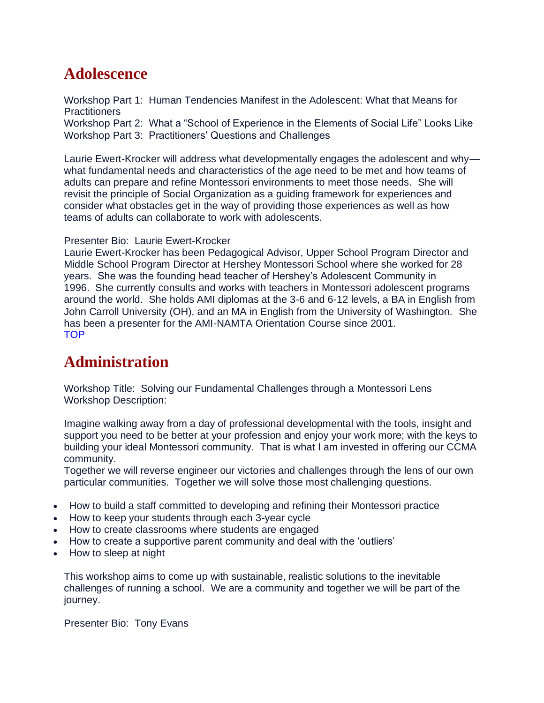# **Adolescence**

Workshop Part 1: Human Tendencies Manifest in the Adolescent: What that Means for **Practitioners** Workshop Part 2: What a "School of Experience in the Elements of Social Life" Looks Like Workshop Part 3: Practitioners' Questions and Challenges

Laurie Ewert-Krocker will address what developmentally engages the adolescent and why what fundamental needs and characteristics of the age need to be met and how teams of adults can prepare and refine Montessori environments to meet those needs. She will revisit the principle of Social Organization as a guiding framework for experiences and consider what obstacles get in the way of providing those experiences as well as how teams of adults can collaborate to work with adolescents.

#### Presenter Bio: Laurie Ewert-Krocker

Laurie Ewert-Krocker has been Pedagogical Advisor, Upper School Program Director and Middle School Program Director at Hershey Montessori School where she worked for 28 years. She was the founding head teacher of Hershey's Adolescent Community in 1996. She currently consults and works with teachers in Montessori adolescent programs around the world. She holds AMI diplomas at the 3-6 and 6-12 levels, a BA in English from John Carroll University (OH), and an MA in English from the University of Washington. She has been a presenter for the AMI-NAMTA Orientation Course since 2001. [TOP](https://www.camt100.ca/conferences)

### **Administration**

Workshop Title: Solving our Fundamental Challenges through a Montessori Lens Workshop Description:

Imagine walking away from a day of professional developmental with the tools, insight and support you need to be better at your profession and enjoy your work more; with the keys to building your ideal Montessori community. That is what I am invested in offering our CCMA community.

Together we will reverse engineer our victories and challenges through the lens of our own particular communities. Together we will solve those most challenging questions.

- How to build a staff committed to developing and refining their Montessori practice
- How to keep your students through each 3-year cycle
- How to create classrooms where students are engaged
- How to create a supportive parent community and deal with the 'outliers'
- How to sleep at night

This workshop aims to come up with sustainable, realistic solutions to the inevitable challenges of running a school. We are a community and together we will be part of the journey.

Presenter Bio: Tony Evans